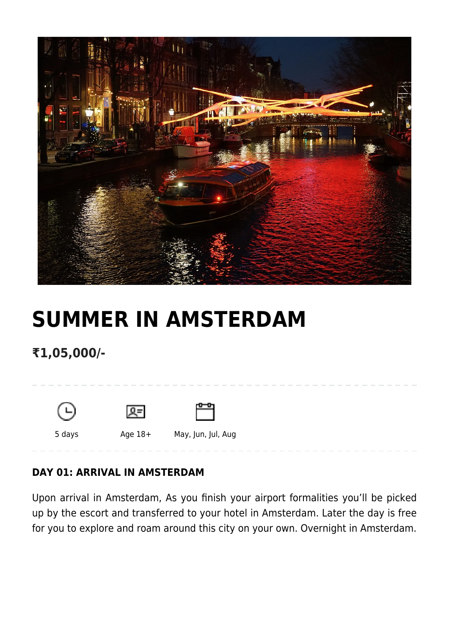

# **[SUMMER IN AMSTERDAM](https://www.mylastminutetrip.com/tour/summer-in-amsterdam/)**

**₹1,05,000/-**



### **DAY 01: ARRIVAL IN AMSTERDAM**

Upon arrival in Amsterdam, As you finish your airport formalities you'll be picked up by the escort and transferred to your hotel in Amsterdam. Later the day is free for you to explore and roam around this city on your own. Overnight in Amsterdam.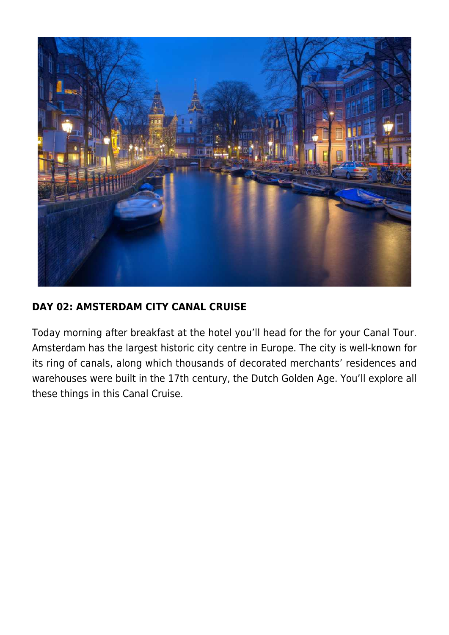

#### **DAY 02: AMSTERDAM CITY CANAL CRUISE**

Today morning after breakfast at the hotel you'll head for the for your Canal Tour. Amsterdam has the largest historic city centre in Europe. The city is well-known for its ring of canals, along which thousands of decorated merchants' residences and warehouses were built in the 17th century, the Dutch Golden Age. You'll explore all these things in this Canal Cruise.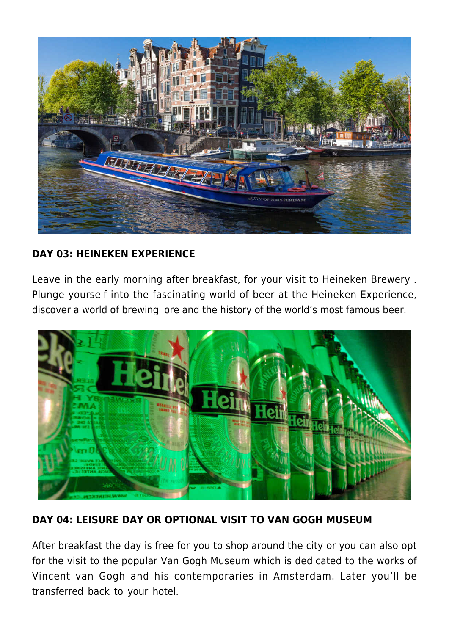

#### **DAY 03: HEINEKEN EXPERIENCE**

Leave in the early morning after breakfast, for your visit to Heineken Brewery . Plunge yourself into the fascinating world of beer at the Heineken Experience, discover a world of brewing lore and the history of the world's most famous beer.



#### **DAY 04: LEISURE DAY OR OPTIONAL VISIT TO VAN GOGH MUSEUM**

After breakfast the day is free for you to shop around the city or you can also opt for the visit to the popular Van Gogh Museum which is dedicated to the works of Vincent van Gogh and his contemporaries in Amsterdam. Later you'll be transferred back to your hotel.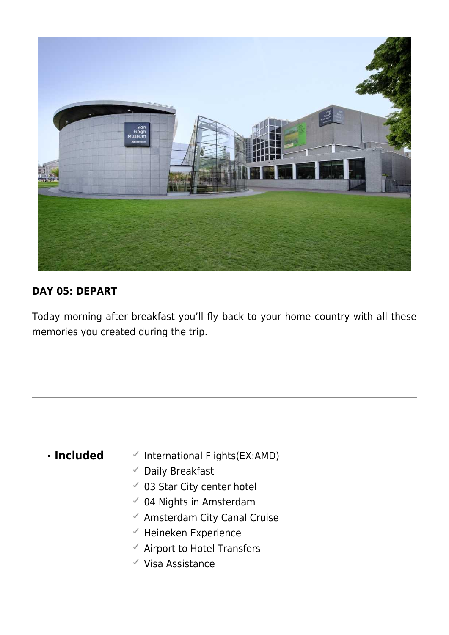

#### **DAY 05: DEPART**

Today morning after breakfast you'll fly back to your home country with all these memories you created during the trip.

- **Included**  $\checkmark$  International Flights(EX:AMD)
	- Daily Breakfast
	- 03 Star City center hotel
	- $\checkmark$  04 Nights in Amsterdam
	- $\checkmark$  Amsterdam City Canal Cruise
	- $\checkmark$  Heineken Experience
	- $\checkmark$  Airport to Hotel Transfers
	- $\checkmark$  Visa Assistance